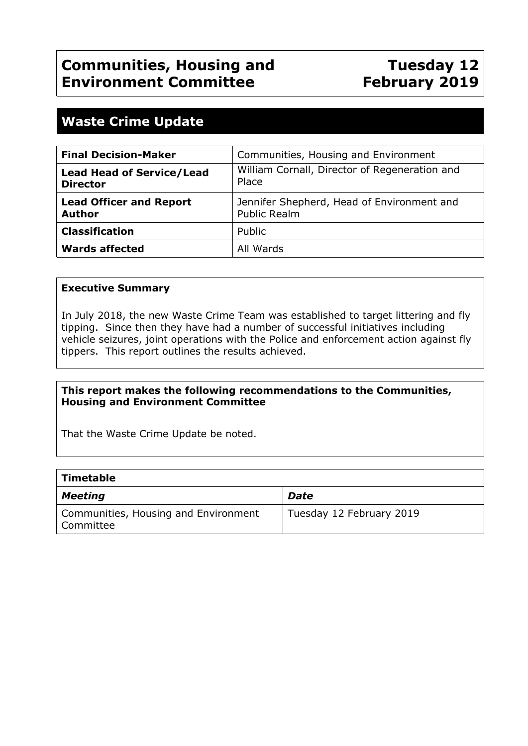# **Tuesday 12 February 2019**

## **Waste Crime Update**

| <b>Final Decision-Maker</b>                         | Communities, Housing and Environment                              |
|-----------------------------------------------------|-------------------------------------------------------------------|
| <b>Lead Head of Service/Lead</b><br><b>Director</b> | William Cornall, Director of Regeneration and<br>Place            |
| <b>Lead Officer and Report</b><br><b>Author</b>     | Jennifer Shepherd, Head of Environment and<br><b>Public Realm</b> |
| <b>Classification</b>                               | Public                                                            |
| <b>Wards affected</b>                               | All Wards                                                         |

#### **Executive Summary**

In July 2018, the new Waste Crime Team was established to target littering and fly tipping. Since then they have had a number of successful initiatives including vehicle seizures, joint operations with the Police and enforcement action against fly tippers. This report outlines the results achieved.

#### **This report makes the following recommendations to the Communities, Housing and Environment Committee**

That the Waste Crime Update be noted.

#### **Timetable**

| <b>Meeting</b>                                    | Date                     |
|---------------------------------------------------|--------------------------|
| Communities, Housing and Environment<br>Committee | Tuesday 12 February 2019 |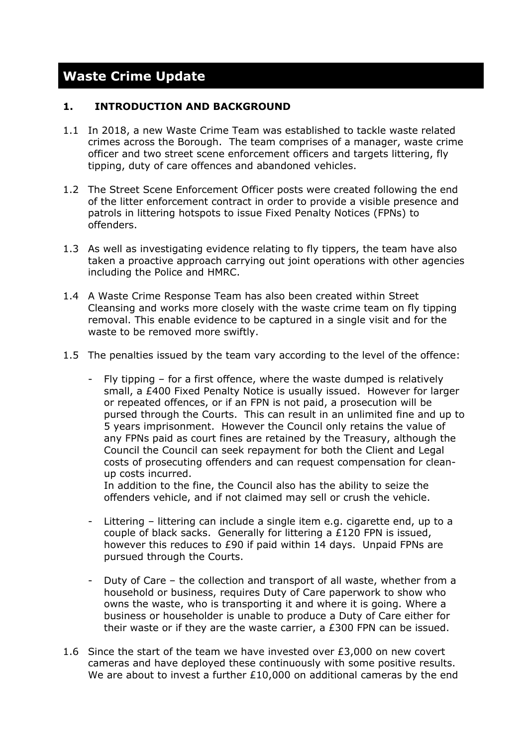# **Waste Crime Update**

#### **1. INTRODUCTION AND BACKGROUND**

- 1.1 In 2018, a new Waste Crime Team was established to tackle waste related crimes across the Borough. The team comprises of a manager, waste crime officer and two street scene enforcement officers and targets littering, fly tipping, duty of care offences and abandoned vehicles.
- 1.2 The Street Scene Enforcement Officer posts were created following the end of the litter enforcement contract in order to provide a visible presence and patrols in littering hotspots to issue Fixed Penalty Notices (FPNs) to offenders.
- 1.3 As well as investigating evidence relating to fly tippers, the team have also taken a proactive approach carrying out joint operations with other agencies including the Police and HMRC.
- 1.4 A Waste Crime Response Team has also been created within Street Cleansing and works more closely with the waste crime team on fly tipping removal. This enable evidence to be captured in a single visit and for the waste to be removed more swiftly.
- 1.5 The penalties issued by the team vary according to the level of the offence:
	- Fly tipping  $-$  for a first offence, where the waste dumped is relatively small, a £400 Fixed Penalty Notice is usually issued. However for larger or repeated offences, or if an FPN is not paid, a prosecution will be pursed through the Courts. This can result in an unlimited fine and up to 5 years imprisonment. However the Council only retains the value of any FPNs paid as court fines are retained by the Treasury, although the Council the Council can seek repayment for both the Client and Legal costs of prosecuting offenders and can request compensation for cleanup costs incurred. In addition to the fine, the Council also has the ability to seize the

offenders vehicle, and if not claimed may sell or crush the vehicle.

- Littering littering can include a single item e.g. cigarette end, up to a couple of black sacks. Generally for littering a £120 FPN is issued, however this reduces to £90 if paid within 14 days. Unpaid FPNs are pursued through the Courts.
- Duty of Care the collection and transport of all waste, whether from a household or business, requires Duty of Care paperwork to show who owns the waste, who is transporting it and where it is going. Where a business or householder is unable to produce a Duty of Care either for their waste or if they are the waste carrier, a £300 FPN can be issued.
- 1.6 Since the start of the team we have invested over £3,000 on new covert cameras and have deployed these continuously with some positive results. We are about to invest a further £10,000 on additional cameras by the end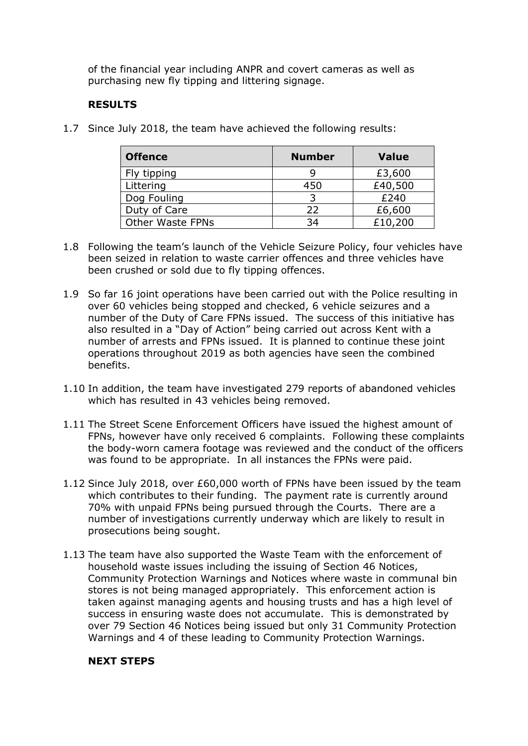of the financial year including ANPR and covert cameras as well as purchasing new fly tipping and littering signage.

#### **RESULTS**

1.7 Since July 2018, the team have achieved the following results:

| <b>Offence</b>          | <b>Number</b> | <b>Value</b> |
|-------------------------|---------------|--------------|
| Fly tipping             |               | £3,600       |
| Littering               | 450           | £40,500      |
| Dog Fouling             | 3             | £240         |
| Duty of Care            | 22            | £6,600       |
| <b>Other Waste FPNs</b> | 34            | £10,200      |

- 1.8 Following the team's launch of the Vehicle Seizure Policy, four vehicles have been seized in relation to waste carrier offences and three vehicles have been crushed or sold due to fly tipping offences.
- 1.9 So far 16 joint operations have been carried out with the Police resulting in over 60 vehicles being stopped and checked, 6 vehicle seizures and a number of the Duty of Care FPNs issued. The success of this initiative has also resulted in a "Day of Action" being carried out across Kent with a number of arrests and FPNs issued. It is planned to continue these joint operations throughout 2019 as both agencies have seen the combined benefits.
- 1.10 In addition, the team have investigated 279 reports of abandoned vehicles which has resulted in 43 vehicles being removed.
- 1.11 The Street Scene Enforcement Officers have issued the highest amount of FPNs, however have only received 6 complaints. Following these complaints the body-worn camera footage was reviewed and the conduct of the officers was found to be appropriate. In all instances the FPNs were paid.
- 1.12 Since July 2018, over £60,000 worth of FPNs have been issued by the team which contributes to their funding. The payment rate is currently around 70% with unpaid FPNs being pursued through the Courts. There are a number of investigations currently underway which are likely to result in prosecutions being sought.
- 1.13 The team have also supported the Waste Team with the enforcement of household waste issues including the issuing of Section 46 Notices, Community Protection Warnings and Notices where waste in communal bin stores is not being managed appropriately. This enforcement action is taken against managing agents and housing trusts and has a high level of success in ensuring waste does not accumulate. This is demonstrated by over 79 Section 46 Notices being issued but only 31 Community Protection Warnings and 4 of these leading to Community Protection Warnings.

#### **NEXT STEPS**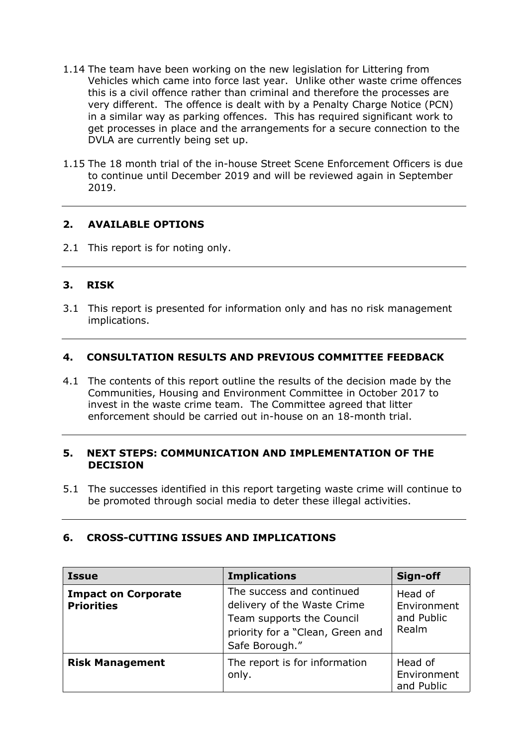- 1.14 The team have been working on the new legislation for Littering from Vehicles which came into force last year. Unlike other waste crime offences this is a civil offence rather than criminal and therefore the processes are very different. The offence is dealt with by a Penalty Charge Notice (PCN) in a similar way as parking offences. This has required significant work to get processes in place and the arrangements for a secure connection to the DVLA are currently being set up.
- 1.15 The 18 month trial of the in-house Street Scene Enforcement Officers is due to continue until December 2019 and will be reviewed again in September 2019.

#### **2. AVAILABLE OPTIONS**

2.1 This report is for noting only.

#### **3. RISK**

3.1 This report is presented for information only and has no risk management implications.

#### **4. CONSULTATION RESULTS AND PREVIOUS COMMITTEE FEEDBACK**

4.1 The contents of this report outline the results of the decision made by the Communities, Housing and Environment Committee in October 2017 to invest in the waste crime team. The Committee agreed that litter enforcement should be carried out in-house on an 18-month trial.

#### **5. NEXT STEPS: COMMUNICATION AND IMPLEMENTATION OF THE DECISION**

5.1 The successes identified in this report targeting waste crime will continue to be promoted through social media to deter these illegal activities.

#### **6. CROSS-CUTTING ISSUES AND IMPLICATIONS**

| <b>Issue</b>                                    | <b>Implications</b>                                                                                                                         | Sign-off                                      |
|-------------------------------------------------|---------------------------------------------------------------------------------------------------------------------------------------------|-----------------------------------------------|
| <b>Impact on Corporate</b><br><b>Priorities</b> | The success and continued<br>delivery of the Waste Crime<br>Team supports the Council<br>priority for a "Clean, Green and<br>Safe Borough." | Head of<br>Environment<br>and Public<br>Realm |
| <b>Risk Management</b>                          | The report is for information<br>only.                                                                                                      | Head of<br>Environment<br>and Public          |